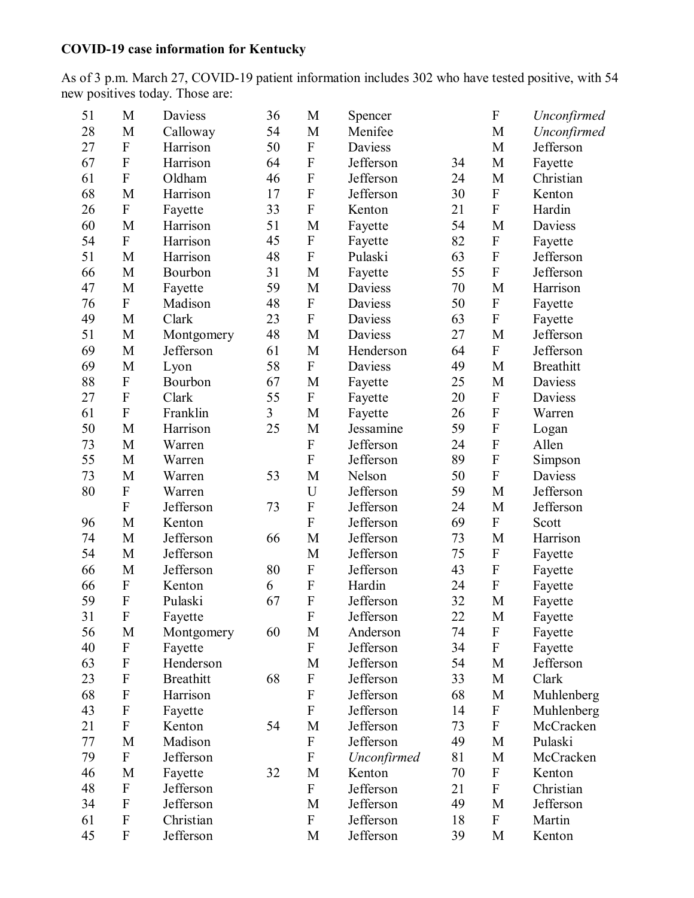## **COVID-19 case information for Kentucky**

As of 3 p.m. March 27, COVID-19 patient information includes 302 who have tested positive, with 54 new positives today. Those are:

| 51 | M                         | Daviess          | 36 | M           | Spencer     |    | $\boldsymbol{\mathrm{F}}$ | Unconfirmed      |
|----|---------------------------|------------------|----|-------------|-------------|----|---------------------------|------------------|
| 28 | M                         | Calloway         | 54 | M           | Menifee     |    | M                         | Unconfirmed      |
| 27 | ${\bf F}$                 | Harrison         | 50 | ${\bf F}$   | Daviess     |    | M                         | Jefferson        |
| 67 | ${\bf F}$                 | Harrison         | 64 | ${\bf F}$   | Jefferson   | 34 | M                         | Fayette          |
| 61 | ${\bf F}$                 | Oldham           | 46 | ${\bf F}$   | Jefferson   | 24 | M                         | Christian        |
| 68 | M                         | Harrison         | 17 | ${\bf F}$   | Jefferson   | 30 | ${\bf F}$                 | Kenton           |
| 26 | ${\bf F}$                 | Fayette          | 33 | ${\bf F}$   | Kenton      | 21 | $\overline{F}$            | Hardin           |
| 60 | M                         | Harrison         | 51 | M           | Fayette     | 54 | M                         | Daviess          |
| 54 | $\boldsymbol{F}$          | Harrison         | 45 | ${\bf F}$   | Fayette     | 82 | ${\bf F}$                 | Fayette          |
| 51 | M                         | Harrison         | 48 | ${\bf F}$   | Pulaski     | 63 | ${\bf F}$                 | Jefferson        |
| 66 | M                         | Bourbon          | 31 | M           | Fayette     | 55 | ${\bf F}$                 | Jefferson        |
| 47 | M                         | Fayette          | 59 | M           | Daviess     | 70 | M                         | Harrison         |
| 76 | ${\bf F}$                 | Madison          | 48 | ${\bf F}$   | Daviess     | 50 | ${\bf F}$                 | Fayette          |
| 49 | M                         | Clark            | 23 | ${\bf F}$   | Daviess     | 63 | ${\bf F}$                 | Fayette          |
| 51 | M                         | Montgomery       | 48 | M           | Daviess     | 27 | M                         | Jefferson        |
| 69 | M                         | Jefferson        | 61 | M           | Henderson   | 64 | ${\bf F}$                 | Jefferson        |
| 69 | M                         | Lyon             | 58 | ${\bf F}$   | Daviess     | 49 | M                         | <b>Breathitt</b> |
| 88 | ${\bf F}$                 | Bourbon          | 67 | M           | Fayette     | 25 | M                         | Daviess          |
| 27 | ${\bf F}$                 | Clark            | 55 | ${\bf F}$   | Fayette     | 20 | ${\bf F}$                 | Daviess          |
| 61 | ${\bf F}$                 | Franklin         | 3  | M           | Fayette     | 26 | $\mathbf F$               | Warren           |
| 50 | M                         | Harrison         | 25 | M           | Jessamine   | 59 | $\overline{F}$            | Logan            |
| 73 | M                         | Warren           |    | ${\bf F}$   | Jefferson   | 24 | ${\bf F}$                 | Allen            |
| 55 | M                         | Warren           |    | $\mathbf F$ | Jefferson   | 89 | F                         | Simpson          |
| 73 | M                         | Warren           | 53 | M           | Nelson      | 50 | ${\bf F}$                 | Daviess          |
| 80 | ${\bf F}$                 | Warren           |    | U           | Jefferson   | 59 | M                         | Jefferson        |
|    | ${\bf F}$                 | Jefferson        | 73 | ${\bf F}$   | Jefferson   | 24 | M                         | Jefferson        |
| 96 | M                         | Kenton           |    | ${\bf F}$   | Jefferson   | 69 | ${\bf F}$                 | Scott            |
| 74 | M                         | Jefferson        | 66 | M           | Jefferson   | 73 | M                         | Harrison         |
| 54 | M                         | Jefferson        |    | M           | Jefferson   | 75 | ${\bf F}$                 | Fayette          |
| 66 | M                         | Jefferson        | 80 | ${\bf F}$   | Jefferson   | 43 | ${\bf F}$                 | Fayette          |
| 66 | ${\bf F}$                 | Kenton           | 6  | ${\bf F}$   | Hardin      | 24 | ${\bf F}$                 | Fayette          |
| 59 | $\overline{F}$            | Pulaski          | 67 | $\mathbf F$ | Jefferson   | 32 | M                         | Fayette          |
| 31 | F                         | Fayette          |    | F           | Jefferson   | 22 | M                         | Fayette          |
| 56 | M                         | Montgomery       | 60 | M           | Anderson    | 74 | $\boldsymbol{\mathrm{F}}$ | Fayette          |
| 40 | $\boldsymbol{\mathrm{F}}$ | Fayette          |    | ${\bf F}$   | Jefferson   | 34 | ${\bf F}$                 | Fayette          |
| 63 | ${\bf F}$                 | Henderson        |    | M           | Jefferson   | 54 | M                         | Jefferson        |
| 23 | $\boldsymbol{\mathrm{F}}$ | <b>Breathitt</b> | 68 | ${\bf F}$   | Jefferson   | 33 | M                         | Clark            |
| 68 | $\boldsymbol{\mathrm{F}}$ | Harrison         |    | ${\bf F}$   | Jefferson   | 68 | M                         | Muhlenberg       |
| 43 | $\boldsymbol{\mathrm{F}}$ | Fayette          |    | ${\bf F}$   | Jefferson   | 14 | $\boldsymbol{\mathrm{F}}$ | Muhlenberg       |
| 21 | ${\bf F}$                 | Kenton           | 54 | M           | Jefferson   | 73 | $\boldsymbol{F}$          | McCracken        |
| 77 | M                         | Madison          |    | ${\bf F}$   | Jefferson   | 49 | M                         | Pulaski          |
| 79 | ${\bf F}$                 | Jefferson        |    | ${\bf F}$   | Unconfirmed | 81 | M                         | McCracken        |
| 46 | M                         | Fayette          | 32 | M           | Kenton      | 70 | ${\bf F}$                 | Kenton           |
| 48 | ${\bf F}$                 | Jefferson        |    | ${\bf F}$   | Jefferson   | 21 | ${\bf F}$                 | Christian        |
| 34 | $\boldsymbol{\mathrm{F}}$ | Jefferson        |    | M           | Jefferson   | 49 | M                         | Jefferson        |
| 61 | $\boldsymbol{F}$          | Christian        |    | ${\bf F}$   | Jefferson   | 18 | $\boldsymbol{\mathrm{F}}$ | Martin           |
| 45 | $\boldsymbol{\mathrm{F}}$ | Jefferson        |    | M           | Jefferson   | 39 | M                         | Kenton           |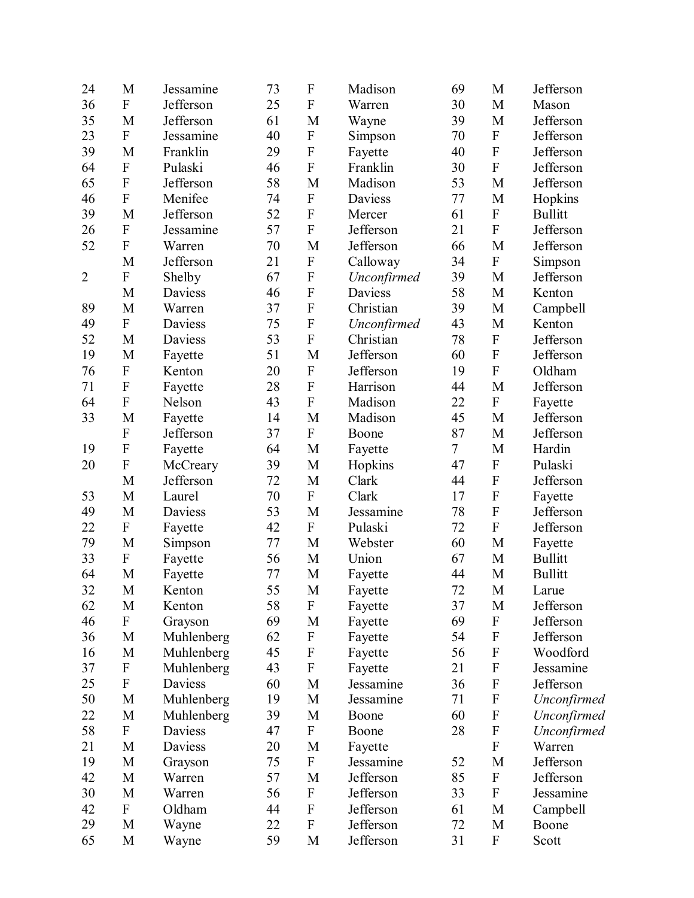| 24             | M                         | Jessamine      | 73 | $\boldsymbol{\mathrm{F}}$ | Madison     | 69             | M                         | Jefferson      |
|----------------|---------------------------|----------------|----|---------------------------|-------------|----------------|---------------------------|----------------|
| 36             | $\mathbf{F}$              | Jefferson      | 25 | ${\bf F}$                 | Warren      | 30             | M                         | Mason          |
| 35             | M                         | Jefferson      | 61 | M                         | Wayne       | 39             | M                         | Jefferson      |
| 23             | $\overline{F}$            | Jessamine      | 40 | ${\bf F}$                 | Simpson     | 70             | $\boldsymbol{\mathrm{F}}$ | Jefferson      |
| 39             | M                         | Franklin       | 29 | ${\bf F}$                 | Fayette     | 40             | $\mathbf{F}$              | Jefferson      |
| 64             | $\boldsymbol{\mathrm{F}}$ | Pulaski        | 46 | ${\bf F}$                 | Franklin    | 30             | $\boldsymbol{\mathrm{F}}$ | Jefferson      |
| 65             | $\mathbf F$               | Jefferson      | 58 | M                         | Madison     | 53             | M                         | Jefferson      |
| 46             | ${\bf F}$                 | Menifee        | 74 | ${\bf F}$                 | Daviess     | 77             | M                         | Hopkins        |
| 39             | M                         | Jefferson      | 52 | ${\bf F}$                 | Mercer      | 61             | ${\bf F}$                 | <b>Bullitt</b> |
| 26             | ${\bf F}$                 | Jessamine      | 57 | ${\bf F}$                 | Jefferson   | 21             | $\mathbf F$               | Jefferson      |
| 52             | ${\bf F}$                 | Warren         | 70 | M                         | Jefferson   | 66             | M                         | Jefferson      |
|                | M                         | Jefferson      | 21 | $\boldsymbol{\mathrm{F}}$ | Calloway    | 34             | ${\bf F}$                 | Simpson        |
| $\overline{2}$ | ${\bf F}$                 | Shelby         | 67 | ${\bf F}$                 | Unconfirmed | 39             | M                         | Jefferson      |
|                | M                         | Daviess        | 46 | ${\bf F}$                 | Daviess     | 58             | M                         | Kenton         |
| 89             | M                         | Warren         | 37 | ${\bf F}$                 | Christian   | 39             | M                         | Campbell       |
| 49             | ${\bf F}$                 | Daviess        | 75 | ${\bf F}$                 | Unconfirmed | 43             | M                         | Kenton         |
| 52             | M                         | Daviess        | 53 | ${\bf F}$                 | Christian   | 78             | ${\bf F}$                 | Jefferson      |
| 19             | M                         | Fayette        | 51 | M                         | Jefferson   | 60             | $\boldsymbol{\mathrm{F}}$ | Jefferson      |
| 76             | ${\bf F}$                 | Kenton         | 20 | ${\bf F}$                 | Jefferson   | 19             | $\boldsymbol{\mathrm{F}}$ | Oldham         |
| 71             | $\mathbf F$               | Fayette        | 28 | $\mathbf F$               | Harrison    | 44             | M                         | Jefferson      |
| 64             | ${\bf F}$                 | Nelson         | 43 | ${\bf F}$                 | Madison     | 22             | ${\bf F}$                 | Fayette        |
| 33             | M                         | Fayette        | 14 | M                         | Madison     | 45             | M                         | Jefferson      |
|                | ${\bf F}$                 | Jefferson      | 37 | ${\bf F}$                 | Boone       | 87             | M                         | Jefferson      |
| 19             | $\mathbf F$               | Fayette        | 64 | M                         | Fayette     | $\overline{7}$ | M                         | Hardin         |
| 20             | $\mathbf F$               | McCreary       | 39 | M                         | Hopkins     | 47             | $\mathbf F$               | Pulaski        |
|                | M                         | Jefferson      | 72 | M                         | Clark       | 44             | $\boldsymbol{\mathrm{F}}$ | Jefferson      |
| 53             | M                         | Laurel         | 70 | ${\bf F}$                 | Clark       | 17             | $\mathbf F$               | Fayette        |
| 49             | $\mathbf M$               | Daviess        | 53 | M                         | Jessamine   | 78             | ${\bf F}$                 | Jefferson      |
| 22             | ${\bf F}$                 | Fayette        | 42 | ${\bf F}$                 | Pulaski     | 72             | $\overline{F}$            | Jefferson      |
| 79             | M                         | Simpson        | 77 | M                         | Webster     | 60             | M                         | Fayette        |
| 33             | ${\bf F}$                 | Fayette        | 56 | M                         | Union       | 67             | M                         | <b>Bullitt</b> |
| 64             | M                         | Fayette        | 77 | M                         | Fayette     | 44             | M                         | <b>Bullitt</b> |
| 32             | M                         | Kenton         | 55 | M                         | Fayette     | 72             | M                         | Larue          |
| 62             | M                         | Kenton         | 58 | F                         | Fayette     | 37             | M                         | Jefferson      |
| 46             | ${\bf F}$                 | Grayson        | 69 | M                         | Fayette     | 69             | $\boldsymbol{\mathrm{F}}$ | Jefferson      |
| 36             | M                         | Muhlenberg     | 62 | $\boldsymbol{\mathrm{F}}$ | Fayette     | 54             | $\mathbf F$               | Jefferson      |
| 16             | $\mathbf M$               | Muhlenberg     | 45 | ${\bf F}$                 | Fayette     | 56             | $\boldsymbol{\mathrm{F}}$ | Woodford       |
| 37             | ${\bf F}$                 | Muhlenberg     | 43 | ${\bf F}$                 | Fayette     | 21             | ${\bf F}$                 | Jessamine      |
| 25             | ${\bf F}$                 | <b>Daviess</b> | 60 | M                         | Jessamine   | 36             | $\boldsymbol{\mathrm{F}}$ | Jefferson      |
| 50             | M                         | Muhlenberg     | 19 | M                         | Jessamine   | 71             | $\mathbf F$               | Unconfirmed    |
| 22             | $\mathbf M$               | Muhlenberg     | 39 | M                         | Boone       | 60             | $\boldsymbol{\mathrm{F}}$ | Unconfirmed    |
| 58             | ${\bf F}$                 | Daviess        | 47 | ${\bf F}$                 | Boone       | 28             | $\boldsymbol{\mathrm{F}}$ | Unconfirmed    |
| 21             | M                         | Daviess        | 20 | M                         | Fayette     |                | ${\bf F}$                 | Warren         |
| 19             | M                         | Grayson        | 75 | ${\bf F}$                 | Jessamine   | 52             | M                         | Jefferson      |
| 42             | M                         | Warren         | 57 | M                         | Jefferson   | 85             | $\boldsymbol{\mathrm{F}}$ | Jefferson      |
| 30             | M                         | Warren         | 56 | F                         | Jefferson   | 33             | $\mathbf F$               | Jessamine      |
| 42             | $\overline{F}$            | Oldham         | 44 | ${\bf F}$                 | Jefferson   | 61             | M                         | Campbell       |
| 29             | M                         | Wayne          | 22 | ${\bf F}$                 | Jefferson   | 72             | M                         | Boone          |
| 65             | M                         | Wayne          | 59 | M                         | Jefferson   | 31             | ${\bf F}$                 | Scott          |
|                |                           |                |    |                           |             |                |                           |                |